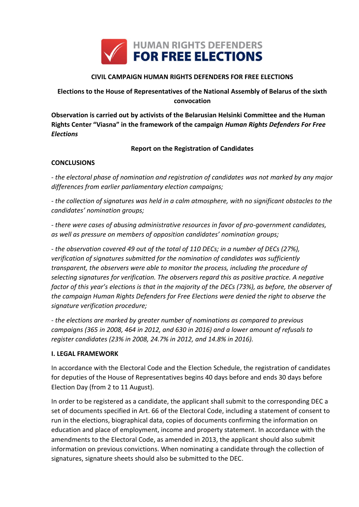

### **CIVIL CAMPAIGN HUMAN RIGHTS DEFENDERS FOR FREE ELECTIONS**

# **Elections to the House of Representatives of the National Assembly of Belarus of the sixth convocation**

**Observation is carried out by activists of the Belarusian Helsinki Committee and the Human Rights Center "Viasna" in the framework of the campaign** *Human Rights Defenders For Free Elections*

#### **Report on the Registration of Candidates**

#### **CONCLUSIONS**

*- the electoral phase of nomination and registration of candidates was not marked by any major differences from earlier parliamentary election campaigns;*

*- the collection of signatures was held in a calm atmosphere, with no significant obstacles to the candidates' nomination groups;*

*- there were cases of abusing administrative resources in favor of pro-government candidates, as well as pressure on members of opposition candidates' nomination groups;*

*- the observation covered 49 out of the total of 110 DECs; in a number of DECs (27%), verification of signatures submitted for the nomination of candidates was sufficiently transparent, the observers were able to monitor the process, including the procedure of selecting signatures for verification. The observers regard this as positive practice. A negative factor of this year's elections is that in the majority of the DECs (73%), as before, the observer of the campaign Human Rights Defenders for Free Elections were denied the right to observe the signature verification procedure;*

*- the elections are marked by greater number of nominations as compared to previous campaigns (365 in 2008, 464 in 2012, and 630 in 2016) and a lower amount of refusals to register candidates (23% in 2008, 24.7% in 2012, and 14.8% in 2016).*

#### **I. LEGAL FRAMEWORK**

In accordance with the Electoral Code and the Election Schedule, the registration of candidates for deputies of the House of Representatives begins 40 days before and ends 30 days before Election Day (from 2 to 11 August).

In order to be registered as a candidate, the applicant shall submit to the corresponding DEC a set of documents specified in Art. 66 of the Electoral Code, including a statement of consent to run in the elections, biographical data, copies of documents confirming the information on education and place of employment, income and property statement. In accordance with the amendments to the Electoral Code, as amended in 2013, the applicant should also submit information on previous convictions. When nominating a candidate through the collection of signatures, signature sheets should also be submitted to the DEC.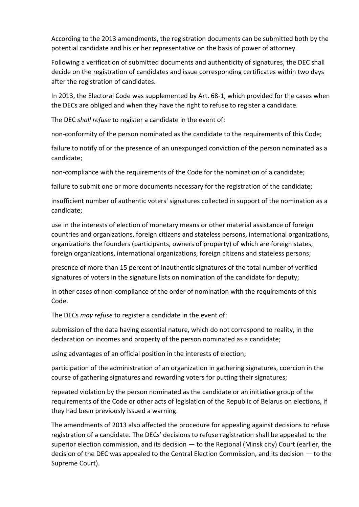According to the 2013 amendments, the registration documents can be submitted both by the potential candidate and his or her representative on the basis of power of attorney.

Following a verification of submitted documents and authenticity of signatures, the DEC shall decide on the registration of candidates and issue corresponding certificates within two days after the registration of candidates.

In 2013, the Electoral Code was supplemented by Art. 68-1, which provided for the cases when the DECs are obliged and when they have the right to refuse to register a candidate.

The DEC *shall refuse* to register a candidate in the event of:

non-conformity of the person nominated as the candidate to the requirements of this Code;

failure to notify of or the presence of an unexpunged conviction of the person nominated as a candidate;

non-compliance with the requirements of the Code for the nomination of a candidate;

failure to submit one or more documents necessary for the registration of the candidate;

insufficient number of authentic voters' signatures collected in support of the nomination as a candidate;

use in the interests of election of monetary means or other material assistance of foreign countries and organizations, foreign citizens and stateless persons, international organizations, organizations the founders (participants, owners of property) of which are foreign states, foreign organizations, international organizations, foreign citizens and stateless persons;

presence of more than 15 percent of inauthentic signatures of the total number of verified signatures of voters in the signature lists on nomination of the candidate for deputy;

in other cases of non-compliance of the order of nomination with the requirements of this Code.

The DECs *may refuse* to register a candidate in the event of:

submission of the data having essential nature, which do not correspond to reality, in the declaration on incomes and property of the person nominated as a candidate;

using advantages of an official position in the interests of election;

participation of the administration of an organization in gathering signatures, coercion in the course of gathering signatures and rewarding voters for putting their signatures;

repeated violation by the person nominated as the candidate or an initiative group of the requirements of the Code or other acts of legislation of the Republic of Belarus on elections, if they had been previously issued a warning.

The amendments of 2013 also affected the procedure for appealing against decisions to refuse registration of a candidate. The DECs' decisions to refuse registration shall be appealed to the superior election commission, and its decision — to the Regional (Minsk city) Court (earlier, the decision of the DEC was appealed to the Central Election Commission, and its decision — to the Supreme Court).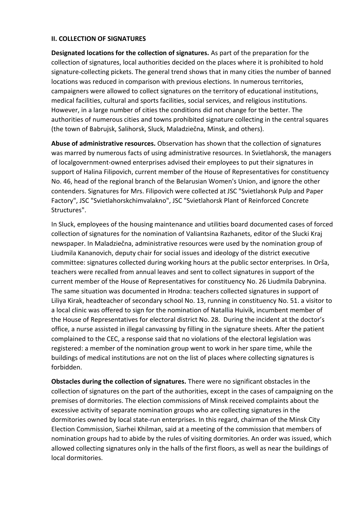#### **II. COLLECTION OF SIGNATURES**

**Designated locations for the collection of signatures.** As part of the preparation for the collection of signatures, local authorities decided on the places where it is prohibited to hold signature-collecting pickets. The general trend shows that in many cities the number of banned locations was reduced in comparison with previous elections. In numerous territories, campaigners were allowed to collect signatures on the territory of educational institutions, medical facilities, cultural and sports facilities, social services, and religious institutions. However, in a large number of cities the conditions did not change for the better. The authorities of numerous cities and towns prohibited signature collecting in the central squares (the town of Babrujsk, Salihorsk, Sluck, Maladziečna, Minsk, and others).

**Abuse of administrative resources.** Observation has shown that the collection of signatures was marred by numerous facts of using administrative resources. In Svietlahorsk, the managers of localgovernment-owned enterprises advised their employees to put their signatures in support of Halina Filipovich, current member of the House of Representatives for constituency No. 46, head of the regional branch of the Belarusian Women's Union, and ignore the other contenders. Signatures for Mrs. Filipovich were collected at JSC "Svietlahorsk Pulp and Paper Factory", JSC "Svietlahorskchimvalakno", JSC "Svietlahorsk Plant of Reinforced Concrete Structures".

In Sluck, employees of the housing maintenance and utilities board documented cases of forced collection of signatures for the nomination of Valiantsina Razhanets, editor of the Slucki Kraj newspaper. In Maladziečna, administrative resources were used by the nomination group of Liudmila Kananovich, deputy chair for social issues and ideology of the district executive committee: signatures collected during working hours at the public sector enterprises. In Orša, teachers were recalled from annual leaves and sent to collect signatures in support of the current member of the House of Representatives for constituency No. 26 Liudmila Dabrynina. The same situation was documented in Hrodna: teachers collected signatures in support of Liliya Kirak, headteacher of secondary school No. 13, running in constituency No. 51. a visitor to a local clinic was offered to sign for the nomination of Natallia Huivik, incumbent member of the House of Representatives for electoral district No. 28. During the incident at the doctor's office, a nurse assisted in illegal canvassing by filling in the signature sheets. After the patient complained to the CEC, a response said that no violations of the electoral legislation was registered: a member of the nomination group went to work in her spare time, while the buildings of medical institutions are not on the list of places where collecting signatures is forbidden.

**Obstacles during the collection of signatures.** There were no significant obstacles in the collection of signatures on the part of the authorities, except in the cases of campaigning on the premises of dormitories. The election commissions of Minsk received complaints about the excessive activity of separate nomination groups who are collecting signatures in the dormitories owned by local state-run enterprises. In this regard, chairman of the Minsk City Election Commission, Siarhei Khilman, said at a meeting of the commission that members of nomination groups had to abide by the rules of visiting dormitories. An order was issued, which allowed collecting signatures only in the halls of the first floors, as well as near the buildings of local dormitories.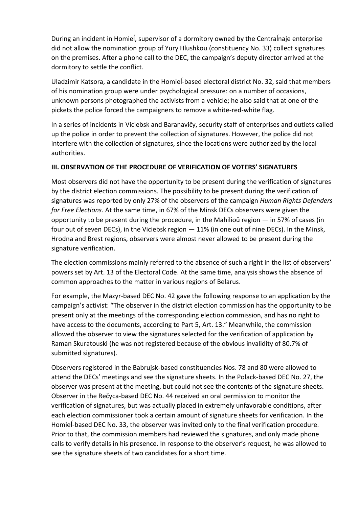During an incident in Homieĺ, supervisor of a dormitory owned by the Centraĺnaje enterprise did not allow the nomination group of Yury Hlushkou (constituency No. 33) collect signatures on the premises. After a phone call to the DEC, the campaign's deputy director arrived at the dormitory to settle the conflict.

Uladzimir Katsora, a candidate in the Homieĺ-based electoral district No. 32, said that members of his nomination group were under psychological pressure: on a number of occasions, unknown persons photographed the activists from a vehicle; he also said that at one of the pickets the police forced the campaigners to remove a white-red-white flag.

In a series of incidents in Viciebsk and Baranavičy, security staff of enterprises and outlets called up the police in order to prevent the collection of signatures. However, the police did not interfere with the collection of signatures, since the locations were authorized by the local authorities.

### **III. OBSERVATION OF THE PROCEDURE OF VERIFICATION OF VOTERS' SIGNATURES**

Most observers did not have the opportunity to be present during the verification of signatures by the district election commissions. The possibility to be present during the verification of signatures was reported by only 27% of the observers of the campaign *Human Rights Defenders for Free Elections*. At the same time, in 67% of the Minsk DECs observers were given the opportunity to be present during the procedure, in the Mahilioŭ region — in 57% of cases (in four out of seven DECs), in the Viciebsk region — 11% (in one out of nine DECs). In the Minsk, Hrodna and Brest regions, observers were almost never allowed to be present during the signature verification.

The election commissions mainly referred to the absence of such a right in the list of observers' powers set by Art. 13 of the Electoral Code. At the same time, analysis shows the absence of common approaches to the matter in various regions of Belarus.

For example, the Mazyr-based DEC No. 42 gave the following response to an application by the campaign's activist: "The observer in the district election commission has the opportunity to be present only at the meetings of the corresponding election commission, and has no right to have access to the documents, according to Part 5, Art. 13." Meanwhile, the commission allowed the observer to view the signatures selected for the verification of application by Raman Skuratouski (he was not registered because of the obvious invalidity of 80.7% of submitted signatures).

Observers registered in the Babrujsk-based constituencies Nos. 78 and 80 were allowed to attend the DECs' meetings and see the signature sheets. In the Polack-based DEC No. 27, the observer was present at the meeting, but could not see the contents of the signature sheets. Observer in the Rečyca-based DEC No. 44 received an oral permission to monitor the verification of signatures, but was actually placed in extremely unfavorable conditions, after each election commissioner took a certain amount of signature sheets for verification. In the Homiel-based DEC No. 33, the observer was invited only to the final verification procedure. Prior to that, the commission members had reviewed the signatures, and only made phone calls to verify details in his presence. In response to the observer's request, he was allowed to see the signature sheets of two candidates for a short time.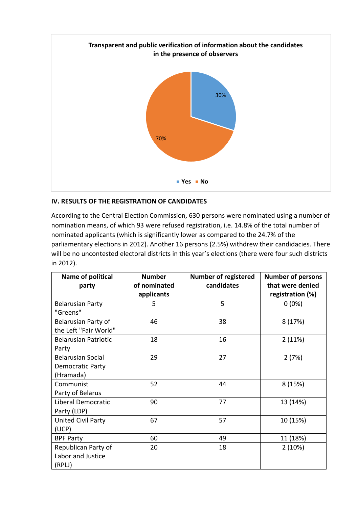

## **IV. RESULTS OF THE REGISTRATION OF CANDIDATES**

According to the Central Election Commission, 630 persons were nominated using a number of nomination means, of which 93 were refused registration, i.e. 14.8% of the total number of nominated applicants (which is significantly lower as compared to the 24.7% of the parliamentary elections in 2012). Another 16 persons (2.5%) withdrew their candidacies. There will be no uncontested electoral districts in this year's elections (there were four such districts in 2012).

| Name of political<br>party                                | <b>Number</b><br>of nominated | <b>Number of registered</b><br>candidates | <b>Number of persons</b><br>that were denied |  |
|-----------------------------------------------------------|-------------------------------|-------------------------------------------|----------------------------------------------|--|
|                                                           | applicants                    |                                           | registration (%)                             |  |
| <b>Belarusian Party</b><br>"Greens"                       | 5                             | 5                                         | $0(0\%)$                                     |  |
| Belarusian Party of<br>the Left "Fair World"              | 46                            | 38                                        | 8(17%)                                       |  |
| <b>Belarusian Patriotic</b><br>Party                      | 18                            | 16                                        | 2(11%)                                       |  |
| <b>Belarusian Social</b><br>Democratic Party<br>(Hramada) | 29                            | 27                                        | 2(7%)                                        |  |
| Communist<br>Party of Belarus                             | 52                            | 44                                        | 8(15%)                                       |  |
| Liberal Democratic<br>Party (LDP)                         | 90                            | 77                                        | 13 (14%)                                     |  |
| United Civil Party<br>(UCP)                               | 67                            | 57                                        | 10 (15%)                                     |  |
| <b>BPF Party</b>                                          | 60                            | 49                                        | 11 (18%)                                     |  |
| Republican Party of<br>Labor and Justice<br>(RPLJ)        | 20                            | 18                                        | 2(10%)                                       |  |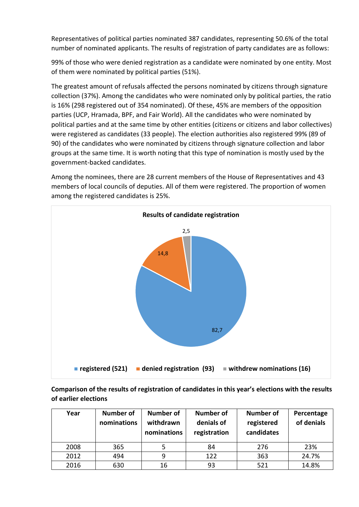Representatives of political parties nominated 387 candidates, representing 50.6% of the total number of nominated applicants. The results of registration of party candidates are as follows:

99% of those who were denied registration as a candidate were nominated by one entity. Most of them were nominated by political parties (51%).

The greatest amount of refusals affected the persons nominated by citizens through signature collection (37%). Among the candidates who were nominated only by political parties, the ratio is 16% (298 registered out of 354 nominated). Of these, 45% are members of the opposition parties (UCP, Hramada, BPF, and Fair World). All the candidates who were nominated by political parties and at the same time by other entities (citizens or citizens and labor collectives) were registered as candidates (33 people). The election authorities also registered 99% (89 of 90) of the candidates who were nominated by citizens through signature collection and labor groups at the same time. It is worth noting that this type of nomination is mostly used by the government-backed candidates.

Among the nominees, there are 28 current members of the House of Representatives and 43 members of local councils of deputies. All of them were registered. The proportion of women among the registered candidates is 25%.



**Comparison of the results of registration of candidates in this year's elections with the results of earlier elections**

| Year | <b>Number of</b><br>nominations | <b>Number of</b><br>withdrawn<br>nominations | <b>Number of</b><br>denials of<br>registration | <b>Number of</b><br>registered<br>candidates | Percentage<br>of denials |
|------|---------------------------------|----------------------------------------------|------------------------------------------------|----------------------------------------------|--------------------------|
| 2008 | 365                             |                                              | 84                                             | 276                                          | 23%                      |
| 2012 | 494                             | 9                                            | 122                                            | 363                                          | 24.7%                    |
| 2016 | 630                             | 16                                           | 93                                             | 521                                          | 14.8%                    |